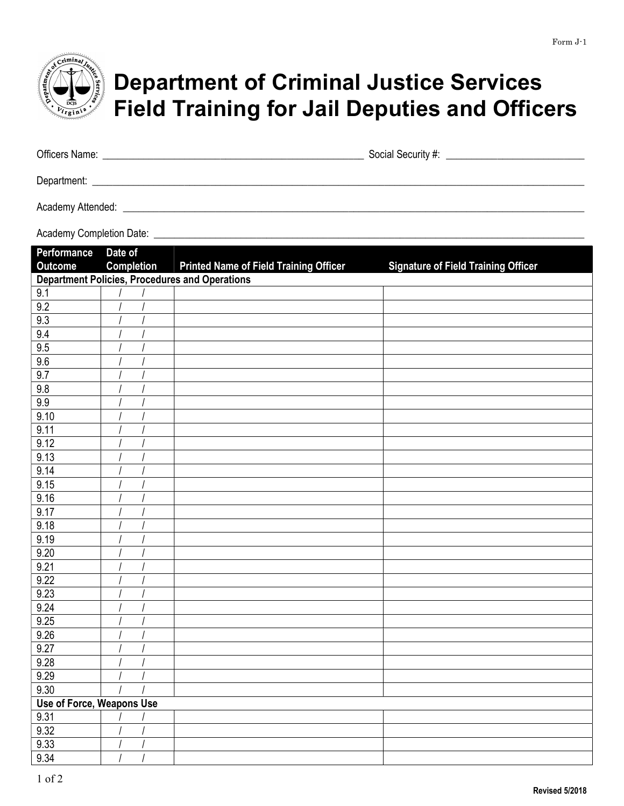

## Department of Criminal Justice Services Field Training for Jail Deputies and Officers

| Officers Name: | Social Security #: |
|----------------|--------------------|
| Department:    |                    |

Academy Attended: \_\_\_\_\_\_\_\_\_\_\_\_\_\_\_\_\_\_\_\_\_\_\_\_\_\_\_\_\_\_\_\_\_\_\_\_\_\_\_\_\_\_\_\_\_\_\_\_\_\_\_\_\_\_\_\_\_\_\_\_\_\_\_\_\_\_\_\_\_\_\_\_\_\_\_\_\_\_\_\_\_\_\_\_\_\_\_\_\_\_

Academy Completion Date: \_\_\_\_\_\_\_\_\_\_\_\_\_\_\_\_\_\_\_\_\_\_\_\_\_\_\_\_\_\_\_\_\_\_\_\_\_\_\_\_\_\_\_\_\_\_\_\_\_\_\_\_\_\_\_\_\_\_\_\_\_\_\_\_\_\_\_\_\_\_\_\_\_\_\_\_\_\_\_\_\_\_\_\_

| <b>Performance</b>                                    | Date of           |                                               |                                            |  |  |
|-------------------------------------------------------|-------------------|-----------------------------------------------|--------------------------------------------|--|--|
| <b>Outcome</b>                                        | <b>Completion</b> | <b>Printed Name of Field Training Officer</b> | <b>Signature of Field Training Officer</b> |  |  |
| <b>Department Policies, Procedures and Operations</b> |                   |                                               |                                            |  |  |
| 9.1                                                   |                   |                                               |                                            |  |  |
| 9.2                                                   |                   |                                               |                                            |  |  |
| 9.3                                                   |                   |                                               |                                            |  |  |
| 9.4                                                   |                   |                                               |                                            |  |  |
| 9.5                                                   |                   |                                               |                                            |  |  |
| 9.6                                                   |                   |                                               |                                            |  |  |
| 9.7                                                   |                   |                                               |                                            |  |  |
| 9.8                                                   |                   |                                               |                                            |  |  |
| $\overline{9.9}$                                      |                   |                                               |                                            |  |  |
| 9.10                                                  |                   |                                               |                                            |  |  |
| 9.11                                                  |                   |                                               |                                            |  |  |
| 9.12                                                  |                   |                                               |                                            |  |  |
| 9.13                                                  |                   |                                               |                                            |  |  |
| 9.14                                                  |                   |                                               |                                            |  |  |
| 9.15                                                  |                   |                                               |                                            |  |  |
| 9.16                                                  |                   |                                               |                                            |  |  |
| 9.17                                                  |                   |                                               |                                            |  |  |
| 9.18                                                  |                   |                                               |                                            |  |  |
| 9.19                                                  |                   |                                               |                                            |  |  |
| 9.20                                                  |                   |                                               |                                            |  |  |
| 9.21                                                  |                   |                                               |                                            |  |  |
| 9.22                                                  |                   |                                               |                                            |  |  |
| 9.23                                                  |                   |                                               |                                            |  |  |
| 9.24                                                  |                   |                                               |                                            |  |  |
| 9.25                                                  |                   |                                               |                                            |  |  |
| 9.26                                                  |                   |                                               |                                            |  |  |
| 9.27                                                  |                   |                                               |                                            |  |  |
| 9.28                                                  |                   |                                               |                                            |  |  |
| 9.29                                                  |                   |                                               |                                            |  |  |
| 9.30                                                  |                   |                                               |                                            |  |  |
| Use of Force, Weapons Use                             |                   |                                               |                                            |  |  |
| 9.31                                                  |                   |                                               |                                            |  |  |
| 9.32                                                  |                   |                                               |                                            |  |  |
| 9.33                                                  |                   |                                               |                                            |  |  |
| 9.34                                                  |                   |                                               |                                            |  |  |